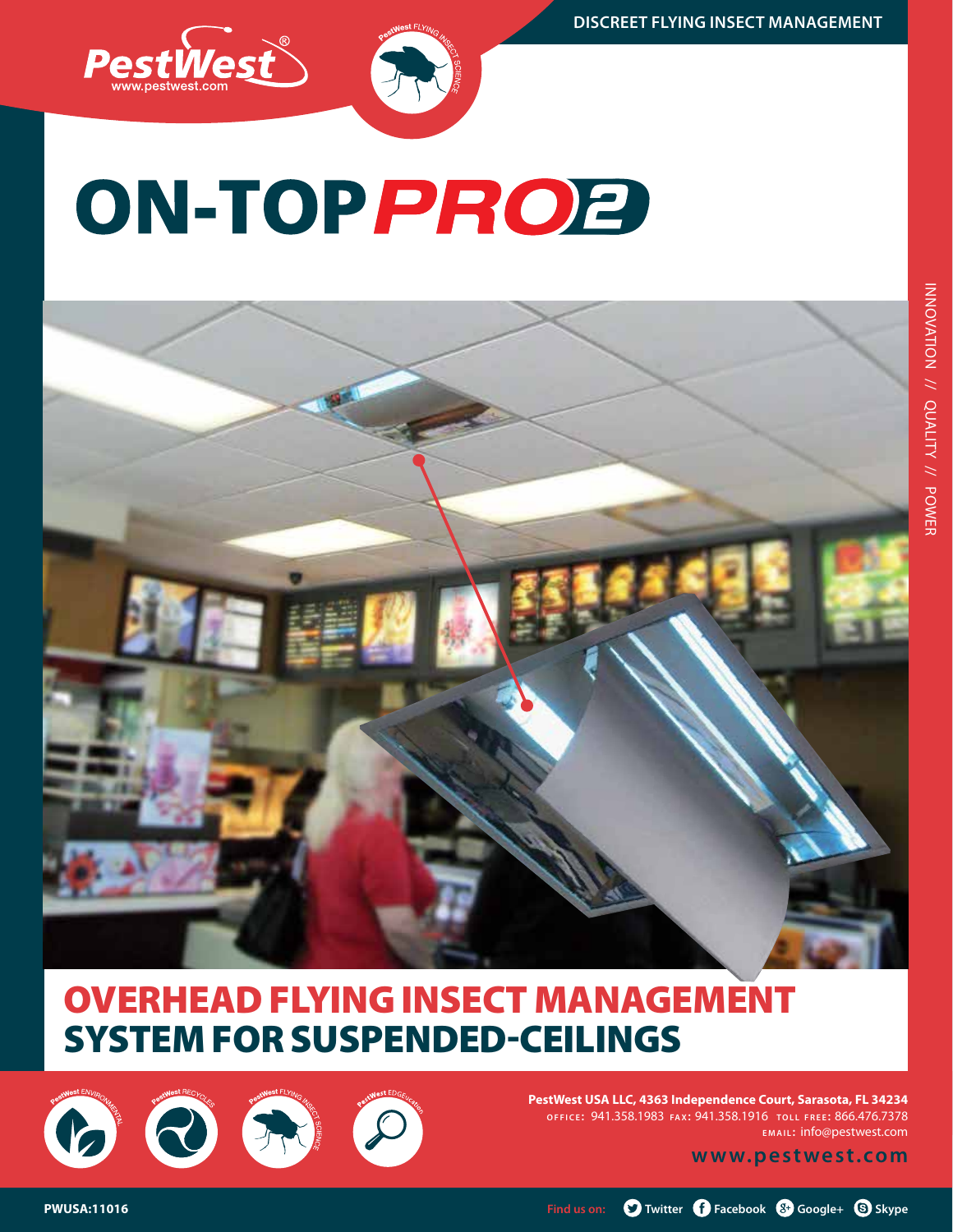





## Overhead flying insect management system for suspended-ceilings

BOR

**PestWest USA LLC, 4363 Independence Court, Sarasota, FL 34234 o f f i c e :** 941.358.1983 **fa x:** 941.358.1916 **t o l l f r e e :** 866.476.7378 **e m a i l :** info@pestwest.com

**www.pestwest.com**